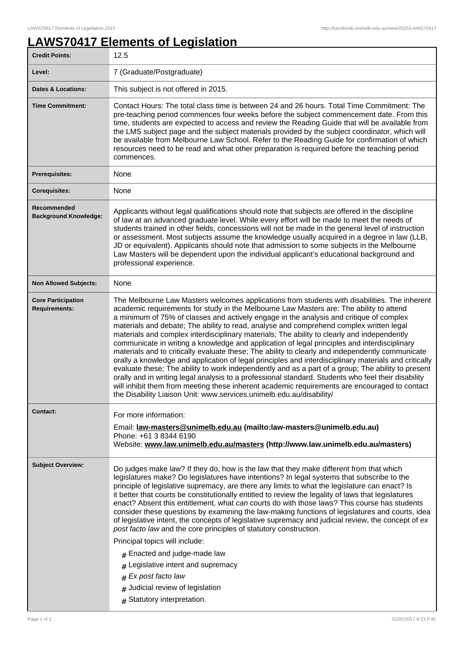## **LAWS70417 Elements of Legislation**

| <b>Credit Points:</b>                             | 12.5                                                                                                                                                                                                                                                                                                                                                                                                                                                                                                                                                                                                                                                                                                                                                                                                                                                                                                                                                                                                                                                                                                                                                                             |
|---------------------------------------------------|----------------------------------------------------------------------------------------------------------------------------------------------------------------------------------------------------------------------------------------------------------------------------------------------------------------------------------------------------------------------------------------------------------------------------------------------------------------------------------------------------------------------------------------------------------------------------------------------------------------------------------------------------------------------------------------------------------------------------------------------------------------------------------------------------------------------------------------------------------------------------------------------------------------------------------------------------------------------------------------------------------------------------------------------------------------------------------------------------------------------------------------------------------------------------------|
| Level:                                            | 7 (Graduate/Postgraduate)                                                                                                                                                                                                                                                                                                                                                                                                                                                                                                                                                                                                                                                                                                                                                                                                                                                                                                                                                                                                                                                                                                                                                        |
| <b>Dates &amp; Locations:</b>                     | This subject is not offered in 2015.                                                                                                                                                                                                                                                                                                                                                                                                                                                                                                                                                                                                                                                                                                                                                                                                                                                                                                                                                                                                                                                                                                                                             |
| <b>Time Commitment:</b>                           | Contact Hours: The total class time is between 24 and 26 hours. Total Time Commitment: The<br>pre-teaching period commences four weeks before the subject commencement date. From this<br>time, students are expected to access and review the Reading Guide that will be available from<br>the LMS subject page and the subject materials provided by the subject coordinator, which will<br>be available from Melbourne Law School. Refer to the Reading Guide for confirmation of which<br>resources need to be read and what other preparation is required before the teaching period<br>commences.                                                                                                                                                                                                                                                                                                                                                                                                                                                                                                                                                                          |
| <b>Prerequisites:</b>                             | None                                                                                                                                                                                                                                                                                                                                                                                                                                                                                                                                                                                                                                                                                                                                                                                                                                                                                                                                                                                                                                                                                                                                                                             |
| <b>Corequisites:</b>                              | None                                                                                                                                                                                                                                                                                                                                                                                                                                                                                                                                                                                                                                                                                                                                                                                                                                                                                                                                                                                                                                                                                                                                                                             |
| Recommended<br><b>Background Knowledge:</b>       | Applicants without legal qualifications should note that subjects are offered in the discipline<br>of law at an advanced graduate level. While every effort will be made to meet the needs of<br>students trained in other fields, concessions will not be made in the general level of instruction<br>or assessment. Most subjects assume the knowledge usually acquired in a degree in law (LLB,<br>JD or equivalent). Applicants should note that admission to some subjects in the Melbourne<br>Law Masters will be dependent upon the individual applicant's educational background and<br>professional experience.                                                                                                                                                                                                                                                                                                                                                                                                                                                                                                                                                         |
| <b>Non Allowed Subjects:</b>                      | None                                                                                                                                                                                                                                                                                                                                                                                                                                                                                                                                                                                                                                                                                                                                                                                                                                                                                                                                                                                                                                                                                                                                                                             |
| <b>Core Participation</b><br><b>Requirements:</b> | The Melbourne Law Masters welcomes applications from students with disabilities. The inherent<br>academic requirements for study in the Melbourne Law Masters are: The ability to attend<br>a minimum of 75% of classes and actively engage in the analysis and critique of complex<br>materials and debate; The ability to read, analyse and comprehend complex written legal<br>materials and complex interdisciplinary materials; The ability to clearly and independently<br>communicate in writing a knowledge and application of legal principles and interdisciplinary<br>materials and to critically evaluate these; The ability to clearly and independently communicate<br>orally a knowledge and application of legal principles and interdisciplinary materials and critically<br>evaluate these; The ability to work independently and as a part of a group; The ability to present<br>orally and in writing legal analysis to a professional standard. Students who feel their disability<br>will inhibit them from meeting these inherent academic requirements are encouraged to contact<br>the Disability Liaison Unit: www.services.unimelb.edu.au/disability/ |
| <b>Contact:</b>                                   | For more information:<br>Email: <u>law-masters@unimelb.edu.au</u> (mailto:law-masters@unimelb.edu.au)<br>Phone: +61 3 8344 6190<br>Website: www.law.unimelb.edu.au/masters (http://www.law.unimelb.edu.au/masters)                                                                                                                                                                                                                                                                                                                                                                                                                                                                                                                                                                                                                                                                                                                                                                                                                                                                                                                                                               |
| <b>Subject Overview:</b>                          | Do judges make law? If they do, how is the law that they make different from that which<br>legislatures make? Do legislatures have intentions? In legal systems that subscribe to the<br>principle of legislative supremacy, are there any limits to what the legislature can enact? Is<br>it better that courts be constitutionally entitled to review the legality of laws that legislatures<br>enact? Absent this entitlement, what can courts do with those laws? This course has students<br>consider these questions by examining the law-making functions of legislatures and courts, idea<br>of legislative intent, the concepts of legislative supremacy and judicial review, the concept of ex<br>post facto law and the core principles of statutory construction.<br>Principal topics will include:<br>$#$ Enacted and judge-made law<br>Legislative intent and supremacy<br>Ex post facto law<br>#<br>Judicial review of legislation<br>#<br>Statutory interpretation.<br>#                                                                                                                                                                                         |